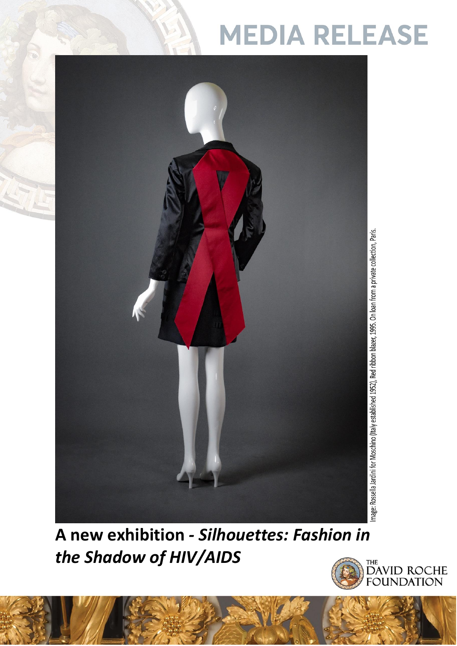## **MEDIA RELEASE**



**A new exhibition** *- Silhouettes: Fashion in the Shadow of HIV/AIDS*